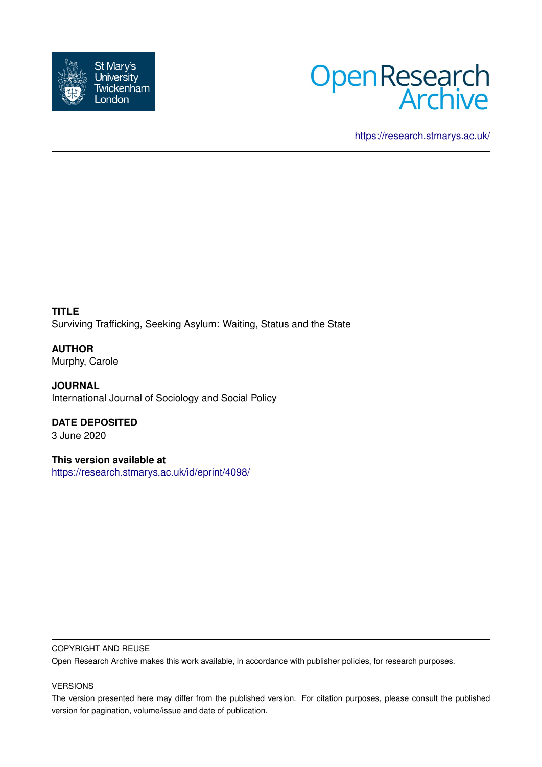



<https://research.stmarys.ac.uk/>

**TITLE** Surviving Trafficking, Seeking Asylum: Waiting, Status and the State

**AUTHOR** Murphy, Carole

**JOURNAL** International Journal of Sociology and Social Policy

**DATE DEPOSITED** 3 June 2020

**This version available at** <https://research.stmarys.ac.uk/id/eprint/4098/>

#### COPYRIGHT AND REUSE

Open Research Archive makes this work available, in accordance with publisher policies, for research purposes.

#### VERSIONS

The version presented here may differ from the published version. For citation purposes, please consult the published version for pagination, volume/issue and date of publication.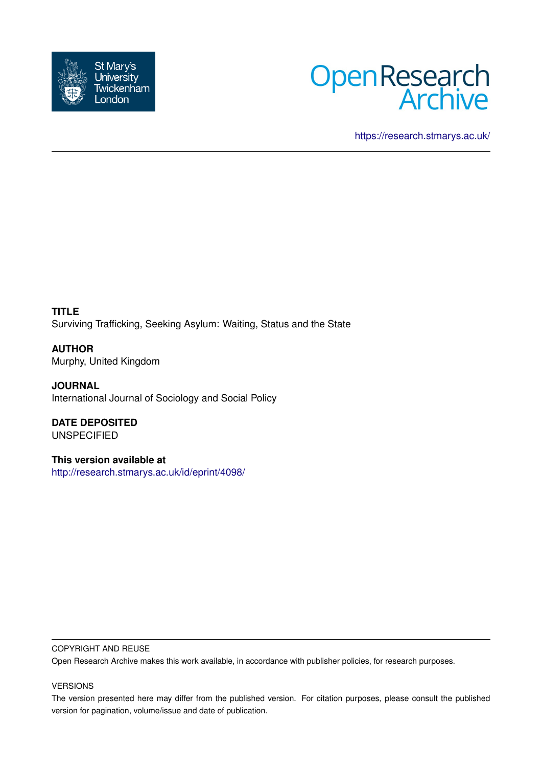



<https://research.stmarys.ac.uk/>

**TITLE** Surviving Trafficking, Seeking Asylum: Waiting, Status and the State

**AUTHOR** Murphy, United Kingdom

**JOURNAL** International Journal of Sociology and Social Policy

**DATE DEPOSITED** UNSPECIFIED

**This version available at** <http://research.stmarys.ac.uk/id/eprint/4098/>

#### COPYRIGHT AND REUSE

Open Research Archive makes this work available, in accordance with publisher policies, for research purposes.

#### VERSIONS

The version presented here may differ from the published version. For citation purposes, please consult the published version for pagination, volume/issue and date of publication.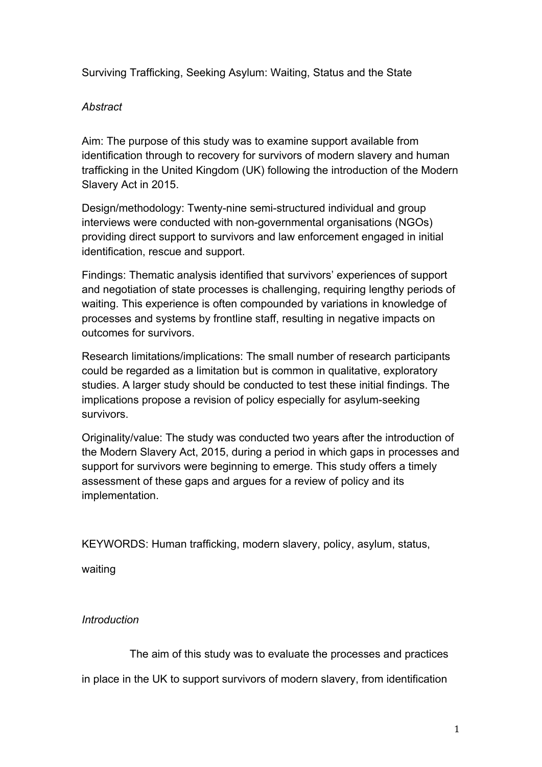Surviving Trafficking, Seeking Asylum: Waiting, Status and the State

# *Abstract*

Aim: The purpose of this study was to examine support available from identification through to recovery for survivors of modern slavery and human trafficking in the United Kingdom (UK) following the introduction of the Modern Slavery Act in 2015.

Design/methodology: Twenty-nine semi-structured individual and group interviews were conducted with non-governmental organisations (NGOs) providing direct support to survivors and law enforcement engaged in initial identification, rescue and support.

Findings: Thematic analysis identified that survivors' experiences of support and negotiation of state processes is challenging, requiring lengthy periods of waiting. This experience is often compounded by variations in knowledge of processes and systems by frontline staff, resulting in negative impacts on outcomes for survivors.

Research limitations/implications: The small number of research participants could be regarded as a limitation but is common in qualitative, exploratory studies. A larger study should be conducted to test these initial findings. The implications propose a revision of policy especially for asylum-seeking survivors.

Originality/value: The study was conducted two years after the introduction of the Modern Slavery Act, 2015, during a period in which gaps in processes and support for survivors were beginning to emerge. This study offers a timely assessment of these gaps and argues for a review of policy and its implementation.

KEYWORDS: Human trafficking, modern slavery, policy, asylum, status,

waiting

# *Introduction*

The aim of this study was to evaluate the processes and practices

in place in the UK to support survivors of modern slavery, from identification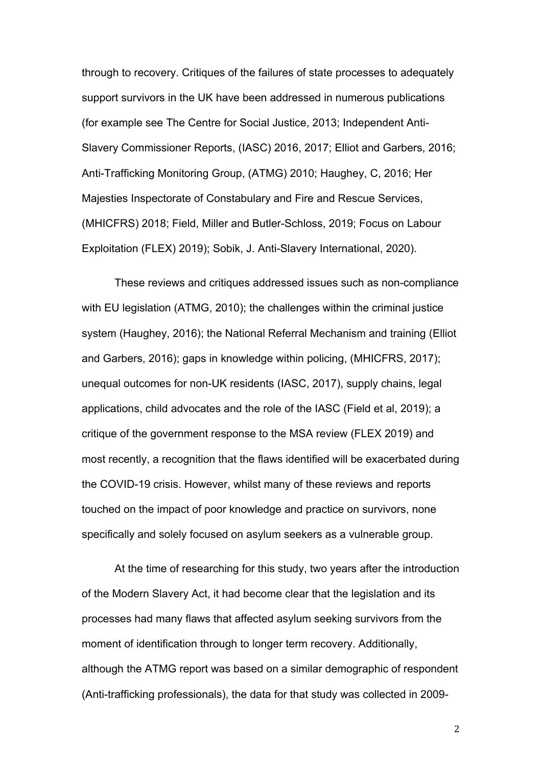through to recovery. Critiques of the failures of state processes to adequately support survivors in the UK have been addressed in numerous publications (for example see The Centre for Social Justice, 2013; Independent Anti-Slavery Commissioner Reports, (IASC) 2016, 2017; Elliot and Garbers, 2016; Anti-Trafficking Monitoring Group, (ATMG) 2010; Haughey, C, 2016; Her Majesties Inspectorate of Constabulary and Fire and Rescue Services, (MHICFRS) 2018; Field, Miller and Butler-Schloss, 2019; Focus on Labour Exploitation (FLEX) 2019); Sobik, J. Anti-Slavery International, 2020).

These reviews and critiques addressed issues such as non-compliance with EU legislation (ATMG, 2010); the challenges within the criminal justice system (Haughey, 2016); the National Referral Mechanism and training (Elliot and Garbers, 2016); gaps in knowledge within policing, (MHICFRS, 2017); unequal outcomes for non-UK residents (IASC, 2017), supply chains, legal applications, child advocates and the role of the IASC (Field et al, 2019); a critique of the government response to the MSA review (FLEX 2019) and most recently, a recognition that the flaws identified will be exacerbated during the COVID-19 crisis. However, whilst many of these reviews and reports touched on the impact of poor knowledge and practice on survivors, none specifically and solely focused on asylum seekers as a vulnerable group.

At the time of researching for this study, two years after the introduction of the Modern Slavery Act, it had become clear that the legislation and its processes had many flaws that affected asylum seeking survivors from the moment of identification through to longer term recovery. Additionally, although the ATMG report was based on a similar demographic of respondent (Anti-trafficking professionals), the data for that study was collected in 2009-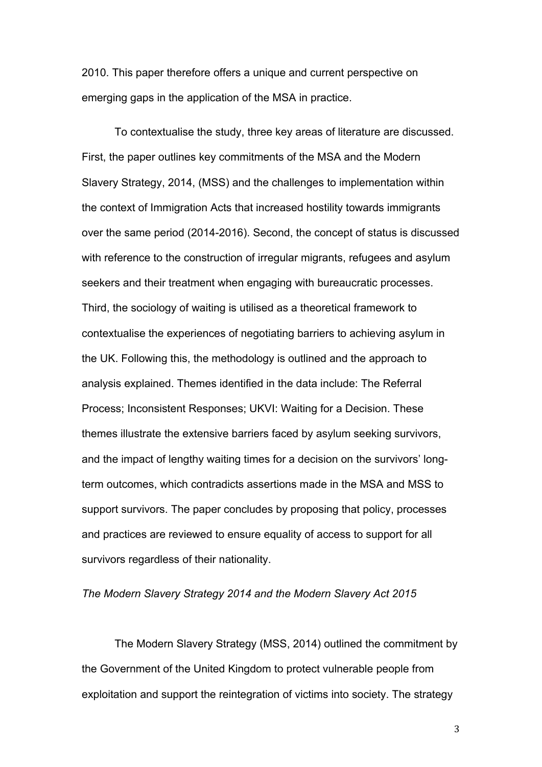2010. This paper therefore offers a unique and current perspective on emerging gaps in the application of the MSA in practice.

To contextualise the study, three key areas of literature are discussed. First, the paper outlines key commitments of the MSA and the Modern Slavery Strategy, 2014, (MSS) and the challenges to implementation within the context of Immigration Acts that increased hostility towards immigrants over the same period (2014-2016). Second, the concept of status is discussed with reference to the construction of irregular migrants, refugees and asylum seekers and their treatment when engaging with bureaucratic processes. Third, the sociology of waiting is utilised as a theoretical framework to contextualise the experiences of negotiating barriers to achieving asylum in the UK. Following this, the methodology is outlined and the approach to analysis explained. Themes identified in the data include: The Referral Process; Inconsistent Responses; UKVI: Waiting for a Decision. These themes illustrate the extensive barriers faced by asylum seeking survivors, and the impact of lengthy waiting times for a decision on the survivors' longterm outcomes, which contradicts assertions made in the MSA and MSS to support survivors. The paper concludes by proposing that policy, processes and practices are reviewed to ensure equality of access to support for all survivors regardless of their nationality.

## *The Modern Slavery Strategy 2014 and the Modern Slavery Act 2015*

The Modern Slavery Strategy (MSS, 2014) outlined the commitment by the Government of the United Kingdom to protect vulnerable people from exploitation and support the reintegration of victims into society. The strategy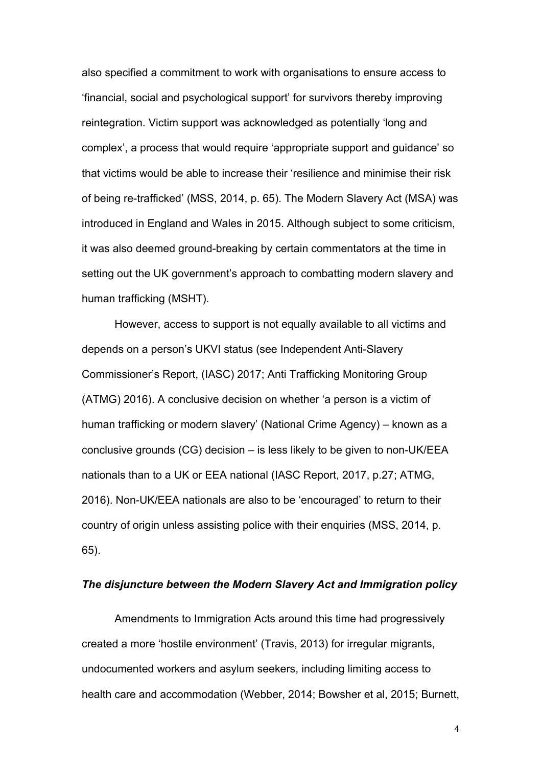also specified a commitment to work with organisations to ensure access to 'financial, social and psychological support' for survivors thereby improving reintegration. Victim support was acknowledged as potentially 'long and complex', a process that would require 'appropriate support and guidance' so that victims would be able to increase their 'resilience and minimise their risk of being re-trafficked' (MSS, 2014, p. 65). The Modern Slavery Act (MSA) was introduced in England and Wales in 2015. Although subject to some criticism, it was also deemed ground-breaking by certain commentators at the time in setting out the UK government's approach to combatting modern slavery and human trafficking (MSHT).

However, access to support is not equally available to all victims and depends on a person's UKVI status (see Independent Anti-Slavery Commissioner's Report, (IASC) 2017; Anti Trafficking Monitoring Group (ATMG) 2016). A conclusive decision on whether 'a person is a victim of human trafficking or modern slavery' (National Crime Agency) – known as a conclusive grounds (CG) decision – is less likely to be given to non-UK/EEA nationals than to a UK or EEA national (IASC Report, 2017, p.27; ATMG, 2016). Non-UK/EEA nationals are also to be 'encouraged' to return to their country of origin unless assisting police with their enquiries (MSS, 2014, p. 65).

### *The disjuncture between the Modern Slavery Act and Immigration policy*

Amendments to Immigration Acts around this time had progressively created a more 'hostile environment' (Travis, 2013) for irregular migrants, undocumented workers and asylum seekers, including limiting access to health care and accommodation (Webber, 2014; Bowsher et al, 2015; Burnett,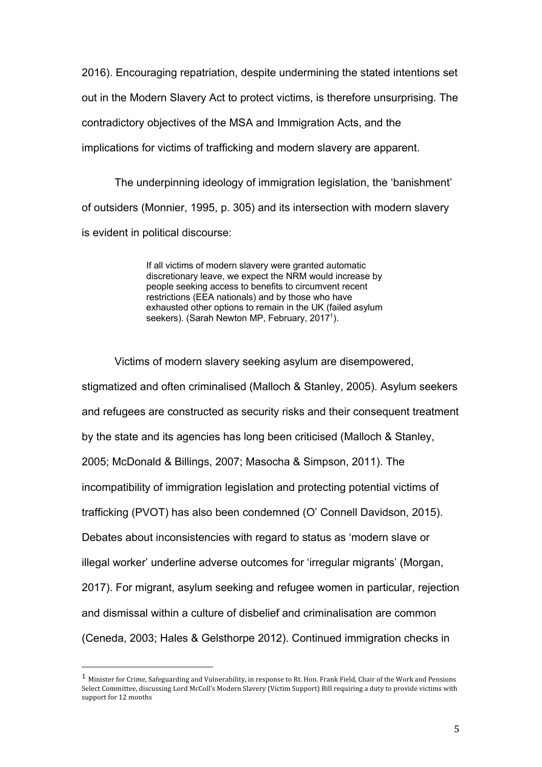2016). Encouraging repatriation, despite undermining the stated intentions set out in the Modern Slavery Act to protect victims, is therefore unsurprising. The contradictory objectives of the MSA and Immigration Acts, and the implications for victims of trafficking and modern slavery are apparent.

The underpinning ideology of immigration legislation, the 'banishment' of outsiders (Monnier, 1995, p. 305) and its intersection with modern slavery is evident in political discourse:

> If all victims of modern slavery were granted automatic discretionary leave, we expect the NRM would increase by people seeking access to benefits to circumvent recent restrictions (EEA nationals) and by those who have exhausted other options to remain in the UK (failed asylum seekers). (Sarah Newton MP, February, 2017<sup>1</sup>).

 Victims of modern slavery seeking asylum are disempowered, stigmatized and often criminalised (Malloch & Stanley, 2005). Asylum seekers and refugees are constructed as security risks and their consequent treatment by the state and its agencies has long been criticised (Malloch & Stanley, 2005; McDonald & Billings, 2007; Masocha & Simpson, 2011). The incompatibility of immigration legislation and protecting potential victims of trafficking (PVOT) has also been condemned (O' Connell Davidson, 2015). Debates about inconsistencies with regard to status as 'modern slave or illegal worker' underline adverse outcomes for 'irregular migrants' (Morgan, 2017). For migrant, asylum seeking and refugee women in particular, rejection and dismissal within a culture of disbelief and criminalisation are common (Ceneda, 2003; Hales & Gelsthorpe 2012). Continued immigration checks in

 $1$  Minister for Crime, Safeguarding and Vulnerability, in response to Rt. Hon. Frank Field, Chair of the Work and Pensions Select Committee, discussing Lord McColl's Modern Slavery (Victim Support) Bill requiring a duty to provide victims with support for 12 months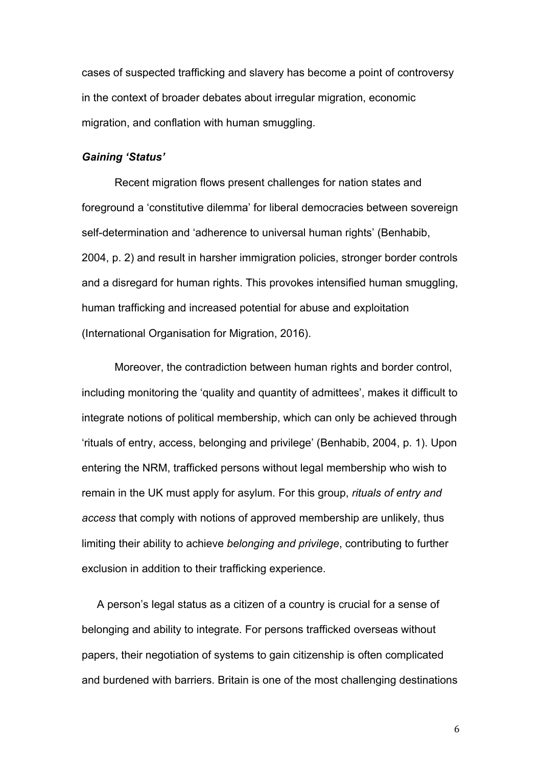cases of suspected trafficking and slavery has become a point of controversy in the context of broader debates about irregular migration, economic migration, and conflation with human smuggling.

### *Gaining 'Status'*

Recent migration flows present challenges for nation states and foreground a 'constitutive dilemma' for liberal democracies between sovereign self-determination and 'adherence to universal human rights' (Benhabib, 2004, p. 2) and result in harsher immigration policies, stronger border controls and a disregard for human rights. This provokes intensified human smuggling, human trafficking and increased potential for abuse and exploitation (International Organisation for Migration, 2016).

 Moreover, the contradiction between human rights and border control, including monitoring the 'quality and quantity of admittees', makes it difficult to integrate notions of political membership, which can only be achieved through 'rituals of entry, access, belonging and privilege' (Benhabib, 2004, p. 1). Upon entering the NRM, trafficked persons without legal membership who wish to remain in the UK must apply for asylum. For this group, *rituals of entry and access* that comply with notions of approved membership are unlikely, thus limiting their ability to achieve *belonging and privilege*, contributing to further exclusion in addition to their trafficking experience.

 A person's legal status as a citizen of a country is crucial for a sense of belonging and ability to integrate. For persons trafficked overseas without papers, their negotiation of systems to gain citizenship is often complicated and burdened with barriers. Britain is one of the most challenging destinations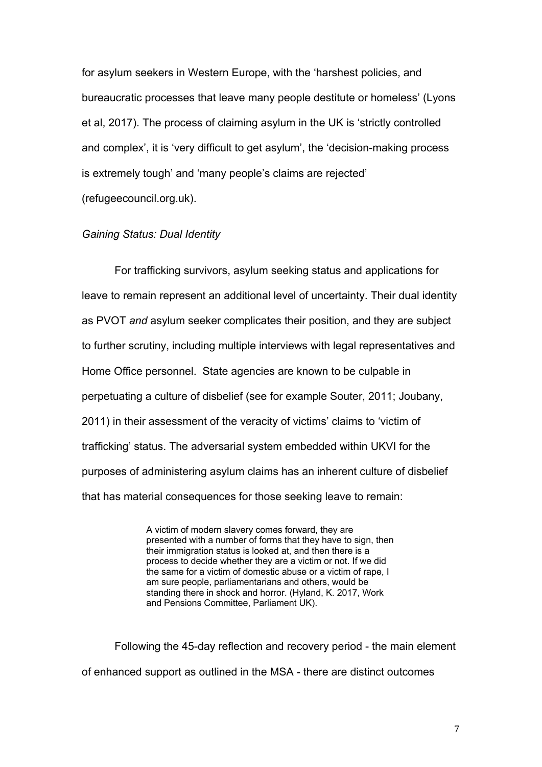for asylum seekers in Western Europe, with the 'harshest policies, and bureaucratic processes that leave many people destitute or homeless' (Lyons et al, 2017). The process of claiming asylum in the UK is 'strictly controlled and complex', it is 'very difficult to get asylum', the 'decision-making process is extremely tough' and 'many people's claims are rejected' (refugeecouncil.org.uk).

# *Gaining Status: Dual Identity*

 For trafficking survivors, asylum seeking status and applications for leave to remain represent an additional level of uncertainty. Their dual identity as PVOT *and* asylum seeker complicates their position, and they are subject to further scrutiny, including multiple interviews with legal representatives and Home Office personnel. State agencies are known to be culpable in perpetuating a culture of disbelief (see for example Souter, 2011; Joubany, 2011) in their assessment of the veracity of victims' claims to 'victim of trafficking' status. The adversarial system embedded within UKVI for the purposes of administering asylum claims has an inherent culture of disbelief that has material consequences for those seeking leave to remain:

> A victim of modern slavery comes forward, they are presented with a number of forms that they have to sign, then their immigration status is looked at, and then there is a process to decide whether they are a victim or not. If we did the same for a victim of domestic abuse or a victim of rape, I am sure people, parliamentarians and others, would be standing there in shock and horror. (Hyland, K. 2017, Work and Pensions Committee, Parliament UK).

 Following the 45-day reflection and recovery period - the main element of enhanced support as outlined in the MSA - there are distinct outcomes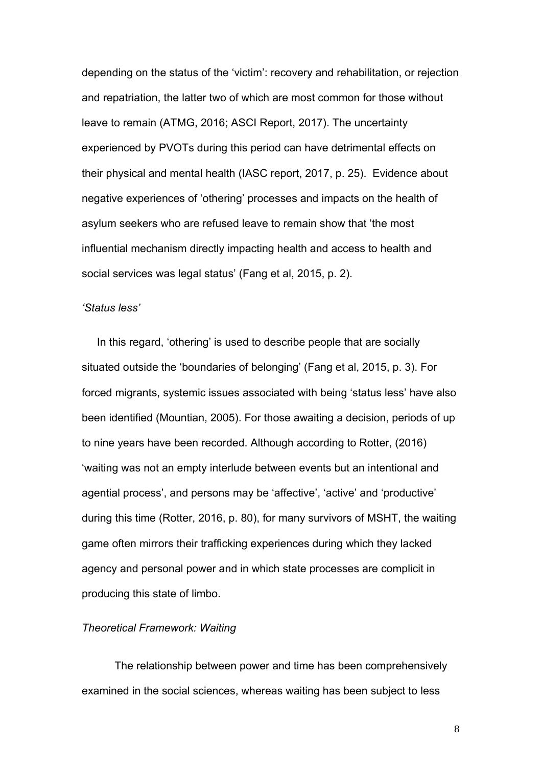depending on the status of the 'victim': recovery and rehabilitation, or rejection and repatriation, the latter two of which are most common for those without leave to remain (ATMG, 2016; ASCI Report, 2017). The uncertainty experienced by PVOTs during this period can have detrimental effects on their physical and mental health (IASC report, 2017, p. 25). Evidence about negative experiences of 'othering' processes and impacts on the health of asylum seekers who are refused leave to remain show that 'the most influential mechanism directly impacting health and access to health and social services was legal status' (Fang et al, 2015, p. 2).

### *'Status less'*

 In this regard, 'othering' is used to describe people that are socially situated outside the 'boundaries of belonging' (Fang et al, 2015, p. 3). For forced migrants, systemic issues associated with being 'status less' have also been identified (Mountian, 2005). For those awaiting a decision, periods of up to nine years have been recorded. Although according to Rotter, (2016) 'waiting was not an empty interlude between events but an intentional and agential process', and persons may be 'affective', 'active' and 'productive' during this time (Rotter, 2016, p. 80), for many survivors of MSHT, the waiting game often mirrors their trafficking experiences during which they lacked agency and personal power and in which state processes are complicit in producing this state of limbo.

### *Theoretical Framework: Waiting*

The relationship between power and time has been comprehensively examined in the social sciences, whereas waiting has been subject to less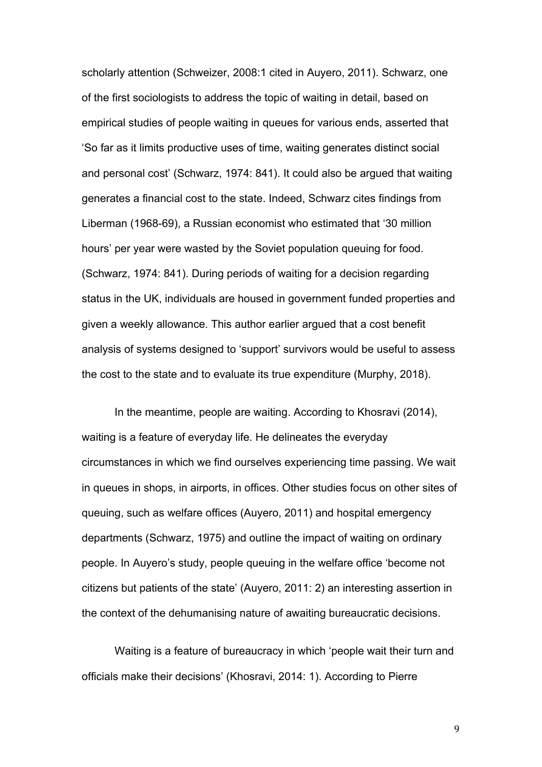scholarly attention (Schweizer, 2008:1 cited in Auyero, 2011). Schwarz, one of the first sociologists to address the topic of waiting in detail, based on empirical studies of people waiting in queues for various ends, asserted that 'So far as it limits productive uses of time, waiting generates distinct social and personal cost' (Schwarz, 1974: 841). It could also be argued that waiting generates a financial cost to the state. Indeed, Schwarz cites findings from Liberman (1968-69), a Russian economist who estimated that '30 million hours' per year were wasted by the Soviet population queuing for food. (Schwarz, 1974: 841). During periods of waiting for a decision regarding status in the UK, individuals are housed in government funded properties and given a weekly allowance. This author earlier argued that a cost benefit analysis of systems designed to 'support' survivors would be useful to assess the cost to the state and to evaluate its true expenditure (Murphy, 2018).

In the meantime, people are waiting. According to Khosravi (2014), waiting is a feature of everyday life. He delineates the everyday circumstances in which we find ourselves experiencing time passing. We wait in queues in shops, in airports, in offices. Other studies focus on other sites of queuing, such as welfare offices (Auyero, 2011) and hospital emergency departments (Schwarz, 1975) and outline the impact of waiting on ordinary people. In Auyero's study, people queuing in the welfare office 'become not citizens but patients of the state' (Auyero, 2011: 2) an interesting assertion in the context of the dehumanising nature of awaiting bureaucratic decisions.

Waiting is a feature of bureaucracy in which 'people wait their turn and officials make their decisions' (Khosravi, 2014: 1). According to Pierre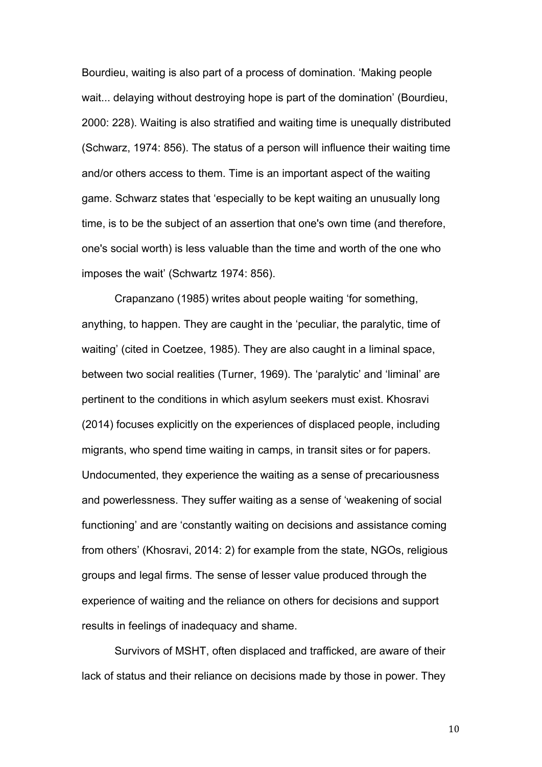Bourdieu, waiting is also part of a process of domination. 'Making people wait... delaying without destroying hope is part of the domination' (Bourdieu, 2000: 228). Waiting is also stratified and waiting time is unequally distributed (Schwarz, 1974: 856). The status of a person will influence their waiting time and/or others access to them. Time is an important aspect of the waiting game. Schwarz states that 'especially to be kept waiting an unusually long time, is to be the subject of an assertion that one's own time (and therefore, one's social worth) is less valuable than the time and worth of the one who imposes the wait' (Schwartz 1974: 856).

Crapanzano (1985) writes about people waiting 'for something, anything, to happen. They are caught in the 'peculiar, the paralytic, time of waiting' (cited in Coetzee, 1985). They are also caught in a liminal space, between two social realities (Turner, 1969). The 'paralytic' and 'liminal' are pertinent to the conditions in which asylum seekers must exist. Khosravi (2014) focuses explicitly on the experiences of displaced people, including migrants, who spend time waiting in camps, in transit sites or for papers. Undocumented, they experience the waiting as a sense of precariousness and powerlessness. They suffer waiting as a sense of 'weakening of social functioning' and are 'constantly waiting on decisions and assistance coming from others' (Khosravi, 2014: 2) for example from the state, NGOs, religious groups and legal firms. The sense of lesser value produced through the experience of waiting and the reliance on others for decisions and support results in feelings of inadequacy and shame.

Survivors of MSHT, often displaced and trafficked, are aware of their lack of status and their reliance on decisions made by those in power. They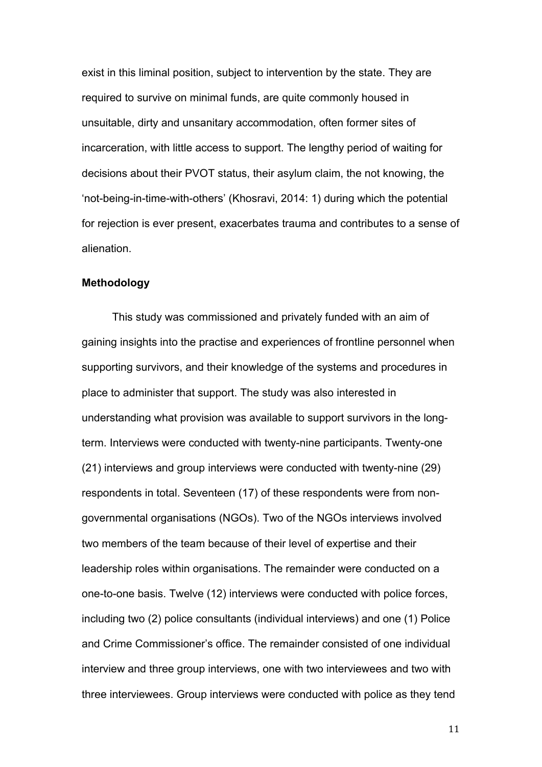exist in this liminal position, subject to intervention by the state. They are required to survive on minimal funds, are quite commonly housed in unsuitable, dirty and unsanitary accommodation, often former sites of incarceration, with little access to support. The lengthy period of waiting for decisions about their PVOT status, their asylum claim, the not knowing, the 'not-being-in-time-with-others' (Khosravi, 2014: 1) during which the potential for rejection is ever present, exacerbates trauma and contributes to a sense of alienation.

#### **Methodology**

 This study was commissioned and privately funded with an aim of gaining insights into the practise and experiences of frontline personnel when supporting survivors, and their knowledge of the systems and procedures in place to administer that support. The study was also interested in understanding what provision was available to support survivors in the longterm. Interviews were conducted with twenty-nine participants. Twenty-one (21) interviews and group interviews were conducted with twenty-nine (29) respondents in total. Seventeen (17) of these respondents were from nongovernmental organisations (NGOs). Two of the NGOs interviews involved two members of the team because of their level of expertise and their leadership roles within organisations. The remainder were conducted on a one-to-one basis. Twelve (12) interviews were conducted with police forces, including two (2) police consultants (individual interviews) and one (1) Police and Crime Commissioner's office. The remainder consisted of one individual interview and three group interviews, one with two interviewees and two with three interviewees. Group interviews were conducted with police as they tend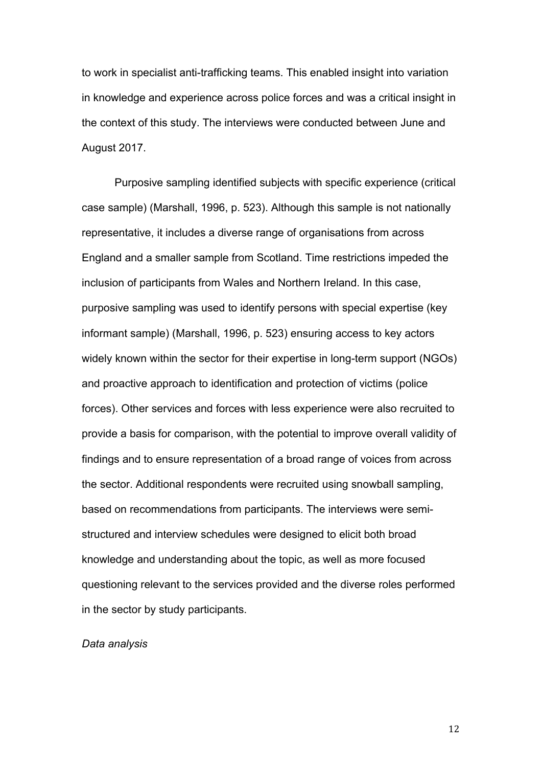to work in specialist anti-trafficking teams. This enabled insight into variation in knowledge and experience across police forces and was a critical insight in the context of this study. The interviews were conducted between June and August 2017.

Purposive sampling identified subjects with specific experience (critical case sample) (Marshall, 1996, p. 523). Although this sample is not nationally representative, it includes a diverse range of organisations from across England and a smaller sample from Scotland. Time restrictions impeded the inclusion of participants from Wales and Northern Ireland. In this case, purposive sampling was used to identify persons with special expertise (key informant sample) (Marshall, 1996, p. 523) ensuring access to key actors widely known within the sector for their expertise in long-term support (NGOs) and proactive approach to identification and protection of victims (police forces). Other services and forces with less experience were also recruited to provide a basis for comparison, with the potential to improve overall validity of findings and to ensure representation of a broad range of voices from across the sector. Additional respondents were recruited using snowball sampling, based on recommendations from participants. The interviews were semistructured and interview schedules were designed to elicit both broad knowledge and understanding about the topic, as well as more focused questioning relevant to the services provided and the diverse roles performed in the sector by study participants.

#### *Data analysis*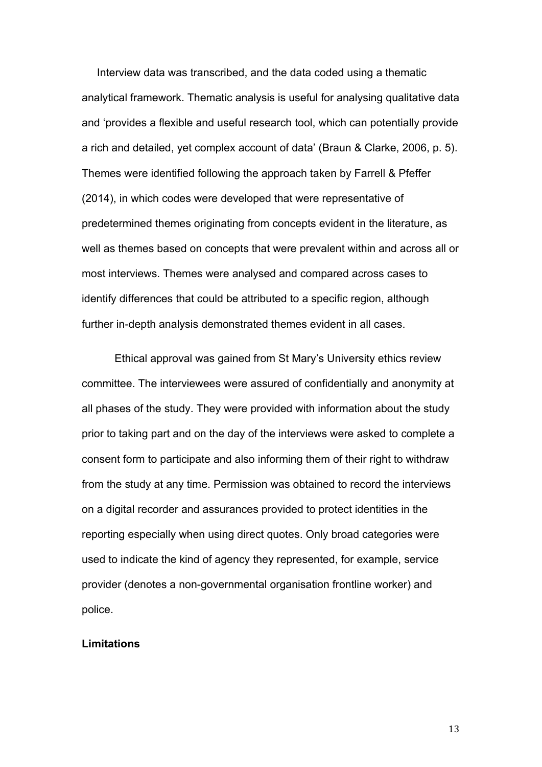Interview data was transcribed, and the data coded using a thematic analytical framework. Thematic analysis is useful for analysing qualitative data and 'provides a flexible and useful research tool, which can potentially provide a rich and detailed, yet complex account of data' (Braun & Clarke, 2006, p. 5). Themes were identified following the approach taken by Farrell & Pfeffer (2014), in which codes were developed that were representative of predetermined themes originating from concepts evident in the literature, as well as themes based on concepts that were prevalent within and across all or most interviews. Themes were analysed and compared across cases to identify differences that could be attributed to a specific region, although further in-depth analysis demonstrated themes evident in all cases.

Ethical approval was gained from St Mary's University ethics review committee. The interviewees were assured of confidentially and anonymity at all phases of the study. They were provided with information about the study prior to taking part and on the day of the interviews were asked to complete a consent form to participate and also informing them of their right to withdraw from the study at any time. Permission was obtained to record the interviews on a digital recorder and assurances provided to protect identities in the reporting especially when using direct quotes. Only broad categories were used to indicate the kind of agency they represented, for example, service provider (denotes a non-governmental organisation frontline worker) and police.

#### **Limitations**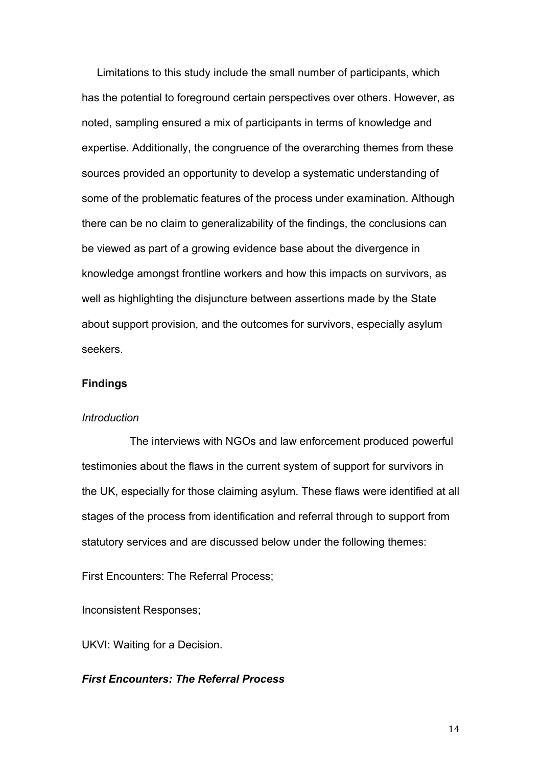Limitations to this study include the small number of participants, which has the potential to foreground certain perspectives over others. However, as noted, sampling ensured a mix of participants in terms of knowledge and expertise. Additionally, the congruence of the overarching themes from these sources provided an opportunity to develop a systematic understanding of some of the problematic features of the process under examination. Although there can be no claim to generalizability of the findings, the conclusions can be viewed as part of a growing evidence base about the divergence in knowledge amongst frontline workers and how this impacts on survivors, as well as highlighting the disjuncture between assertions made by the State about support provision, and the outcomes for survivors, especially asylum seekers.

# **Findings**

### *Introduction*

 The interviews with NGOs and law enforcement produced powerful testimonies about the flaws in the current system of support for survivors in the UK, especially for those claiming asylum. These flaws were identified at all stages of the process from identification and referral through to support from statutory services and are discussed below under the following themes:

First Encounters: The Referral Process;

Inconsistent Responses;

UKVI: Waiting for a Decision.

# *First Encounters: The Referral Process*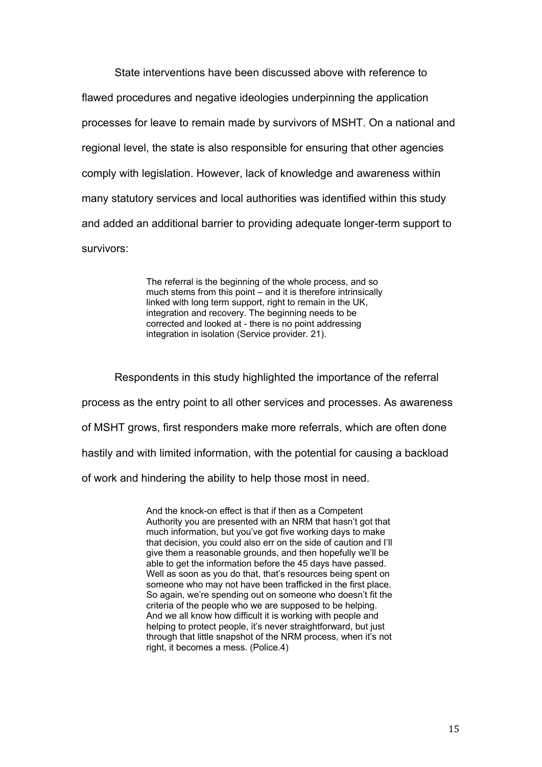State interventions have been discussed above with reference to flawed procedures and negative ideologies underpinning the application processes for leave to remain made by survivors of MSHT. On a national and regional level, the state is also responsible for ensuring that other agencies comply with legislation. However, lack of knowledge and awareness within many statutory services and local authorities was identified within this study and added an additional barrier to providing adequate longer-term support to survivors:

> The referral is the beginning of the whole process, and so much stems from this point – and it is therefore intrinsically linked with long term support, right to remain in the UK, integration and recovery. The beginning needs to be corrected and looked at - there is no point addressing integration in isolation (Service provider. 21).

Respondents in this study highlighted the importance of the referral process as the entry point to all other services and processes. As awareness of MSHT grows, first responders make more referrals, which are often done hastily and with limited information, with the potential for causing a backload of work and hindering the ability to help those most in need.

> And the knock-on effect is that if then as a Competent Authority you are presented with an NRM that hasn't got that much information, but you've got five working days to make that decision, you could also err on the side of caution and I'll give them a reasonable grounds, and then hopefully we'll be able to get the information before the 45 days have passed. Well as soon as you do that, that's resources being spent on someone who may not have been trafficked in the first place. So again, we're spending out on someone who doesn't fit the criteria of the people who we are supposed to be helping. And we all know how difficult it is working with people and helping to protect people, it's never straightforward, but just through that little snapshot of the NRM process, when it's not right, it becomes a mess. (Police.4)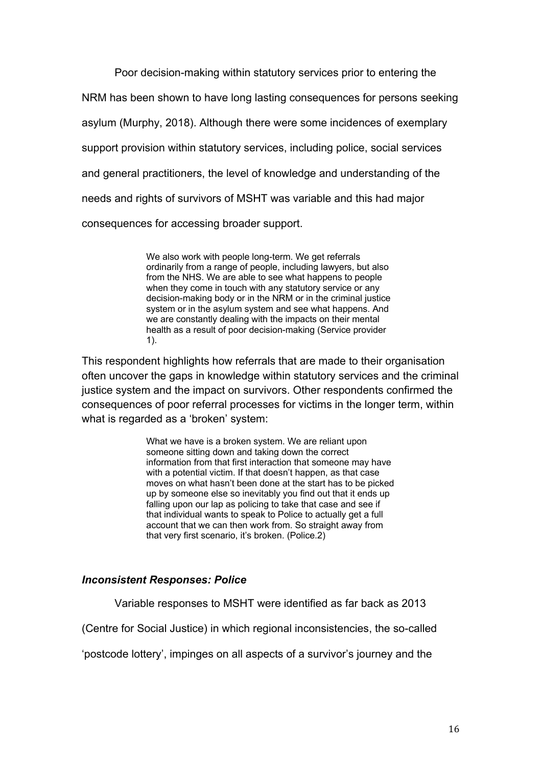Poor decision-making within statutory services prior to entering the NRM has been shown to have long lasting consequences for persons seeking asylum (Murphy, 2018). Although there were some incidences of exemplary support provision within statutory services, including police, social services and general practitioners, the level of knowledge and understanding of the needs and rights of survivors of MSHT was variable and this had major consequences for accessing broader support.

> We also work with people long-term. We get referrals ordinarily from a range of people, including lawyers, but also from the NHS. We are able to see what happens to people when they come in touch with any statutory service or any decision-making body or in the NRM or in the criminal justice system or in the asylum system and see what happens. And we are constantly dealing with the impacts on their mental health as a result of poor decision-making (Service provider 1).

This respondent highlights how referrals that are made to their organisation often uncover the gaps in knowledge within statutory services and the criminal justice system and the impact on survivors. Other respondents confirmed the consequences of poor referral processes for victims in the longer term, within what is regarded as a 'broken' system:

> What we have is a broken system. We are reliant upon someone sitting down and taking down the correct information from that first interaction that someone may have with a potential victim. If that doesn't happen, as that case moves on what hasn't been done at the start has to be picked up by someone else so inevitably you find out that it ends up falling upon our lap as policing to take that case and see if that individual wants to speak to Police to actually get a full account that we can then work from. So straight away from that very first scenario, it's broken. (Police.2)

### *Inconsistent Responses: Police*

Variable responses to MSHT were identified as far back as 2013

(Centre for Social Justice) in which regional inconsistencies, the so-called

'postcode lottery', impinges on all aspects of a survivor's journey and the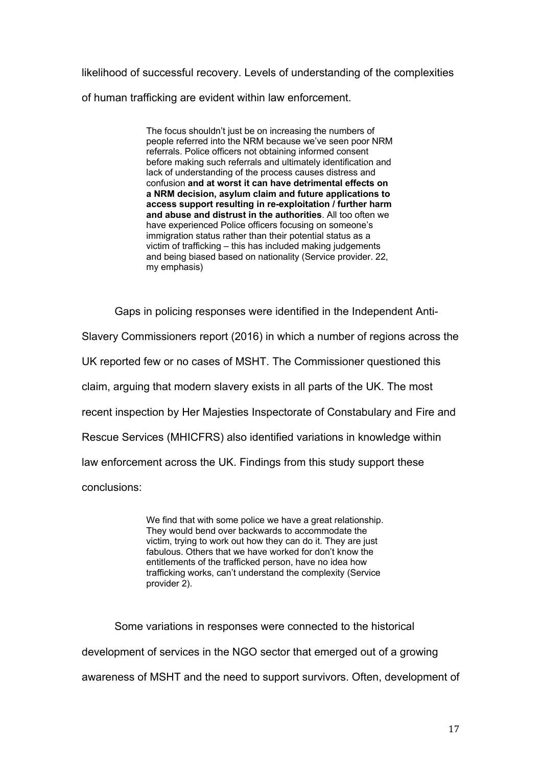likelihood of successful recovery. Levels of understanding of the complexities of human trafficking are evident within law enforcement.

> The focus shouldn't just be on increasing the numbers of people referred into the NRM because we've seen poor NRM referrals. Police officers not obtaining informed consent before making such referrals and ultimately identification and lack of understanding of the process causes distress and confusion **and at worst it can have detrimental effects on a NRM decision, asylum claim and future applications to access support resulting in re-exploitation / further harm and abuse and distrust in the authorities**. All too often we have experienced Police officers focusing on someone's immigration status rather than their potential status as a victim of trafficking – this has included making judgements and being biased based on nationality (Service provider. 22, my emphasis)

Gaps in policing responses were identified in the Independent Anti-

Slavery Commissioners report (2016) in which a number of regions across the

UK reported few or no cases of MSHT. The Commissioner questioned this

claim, arguing that modern slavery exists in all parts of the UK. The most

recent inspection by Her Majesties Inspectorate of Constabulary and Fire and

Rescue Services (MHICFRS) also identified variations in knowledge within

law enforcement across the UK. Findings from this study support these

conclusions:

We find that with some police we have a great relationship. They would bend over backwards to accommodate the victim, trying to work out how they can do it. They are just fabulous. Others that we have worked for don't know the entitlements of the trafficked person, have no idea how trafficking works, can't understand the complexity (Service provider 2).

Some variations in responses were connected to the historical development of services in the NGO sector that emerged out of a growing awareness of MSHT and the need to support survivors. Often, development of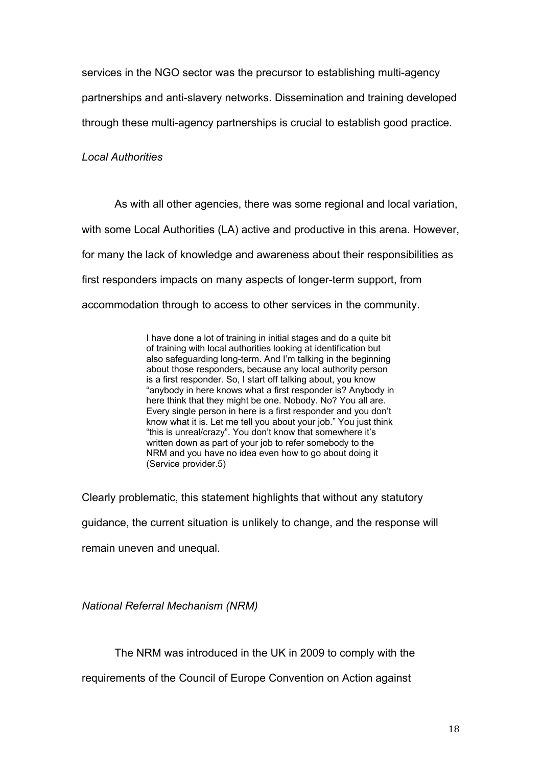services in the NGO sector was the precursor to establishing multi-agency partnerships and anti-slavery networks. Dissemination and training developed through these multi-agency partnerships is crucial to establish good practice.

# *Local Authorities*

As with all other agencies, there was some regional and local variation, with some Local Authorities (LA) active and productive in this arena. However, for many the lack of knowledge and awareness about their responsibilities as first responders impacts on many aspects of longer-term support, from accommodation through to access to other services in the community.

> I have done a lot of training in initial stages and do a quite bit of training with local authorities looking at identification but also safeguarding long-term. And I'm talking in the beginning about those responders, because any local authority person is a first responder. So, I start off talking about, you know "anybody in here knows what a first responder is? Anybody in here think that they might be one. Nobody. No? You all are. Every single person in here is a first responder and you don't know what it is. Let me tell you about your job." You just think "this is unreal/crazy". You don't know that somewhere it's written down as part of your job to refer somebody to the NRM and you have no idea even how to go about doing it (Service provider.5)

Clearly problematic, this statement highlights that without any statutory guidance, the current situation is unlikely to change, and the response will remain uneven and unequal.

*National Referral Mechanism (NRM)*

The NRM was introduced in the UK in 2009 to comply with the

requirements of the Council of Europe Convention on Action against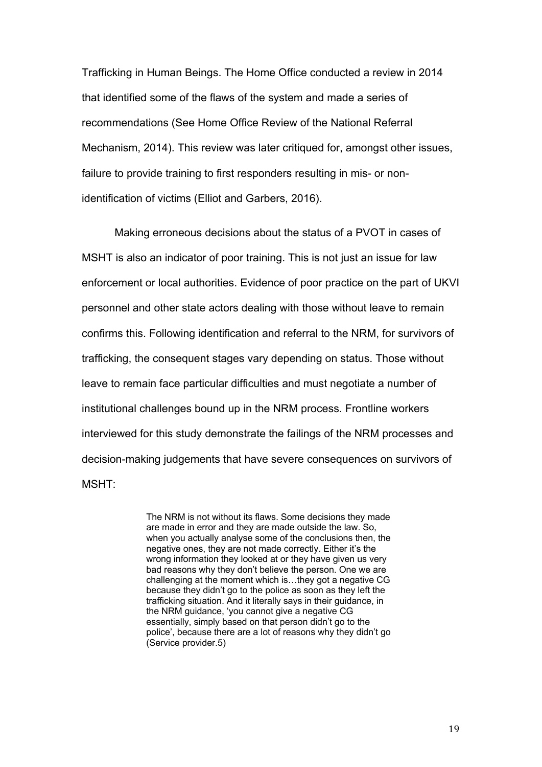Trafficking in Human Beings. The Home Office conducted a review in 2014 that identified some of the flaws of the system and made a series of recommendations (See Home Office Review of the National Referral Mechanism, 2014). This review was later critiqued for, amongst other issues, failure to provide training to first responders resulting in mis- or nonidentification of victims (Elliot and Garbers, 2016).

Making erroneous decisions about the status of a PVOT in cases of MSHT is also an indicator of poor training. This is not just an issue for law enforcement or local authorities. Evidence of poor practice on the part of UKVI personnel and other state actors dealing with those without leave to remain confirms this. Following identification and referral to the NRM, for survivors of trafficking, the consequent stages vary depending on status. Those without leave to remain face particular difficulties and must negotiate a number of institutional challenges bound up in the NRM process. Frontline workers interviewed for this study demonstrate the failings of the NRM processes and decision-making judgements that have severe consequences on survivors of MSHT:

> The NRM is not without its flaws. Some decisions they made are made in error and they are made outside the law. So, when you actually analyse some of the conclusions then, the negative ones, they are not made correctly. Either it's the wrong information they looked at or they have given us very bad reasons why they don't believe the person. One we are challenging at the moment which is…they got a negative CG because they didn't go to the police as soon as they left the trafficking situation. And it literally says in their guidance, in the NRM guidance, 'you cannot give a negative CG essentially, simply based on that person didn't go to the police', because there are a lot of reasons why they didn't go (Service provider.5)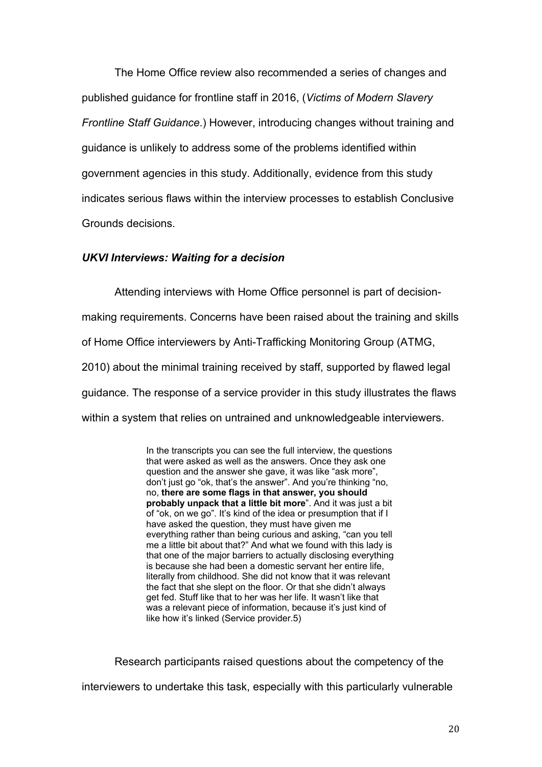The Home Office review also recommended a series of changes and published guidance for frontline staff in 2016, (*Victims of Modern Slavery Frontline Staff Guidance*.) However, introducing changes without training and guidance is unlikely to address some of the problems identified within government agencies in this study. Additionally, evidence from this study indicates serious flaws within the interview processes to establish Conclusive Grounds decisions.

# *UKVI Interviews: Waiting for a decision*

Attending interviews with Home Office personnel is part of decisionmaking requirements. Concerns have been raised about the training and skills of Home Office interviewers by Anti-Trafficking Monitoring Group (ATMG, 2010) about the minimal training received by staff, supported by flawed legal guidance. The response of a service provider in this study illustrates the flaws within a system that relies on untrained and unknowledgeable interviewers.

> In the transcripts you can see the full interview, the questions that were asked as well as the answers. Once they ask one question and the answer she gave, it was like "ask more", don't just go "ok, that's the answer". And you're thinking "no, no, **there are some flags in that answer, you should probably unpack that a little bit more**". And it was just a bit of "ok, on we go". It's kind of the idea or presumption that if I have asked the question, they must have given me everything rather than being curious and asking, "can you tell me a little bit about that?" And what we found with this lady is that one of the major barriers to actually disclosing everything is because she had been a domestic servant her entire life, literally from childhood. She did not know that it was relevant the fact that she slept on the floor. Or that she didn't always get fed. Stuff like that to her was her life. It wasn't like that was a relevant piece of information, because it's just kind of like how it's linked (Service provider.5)

Research participants raised questions about the competency of the interviewers to undertake this task, especially with this particularly vulnerable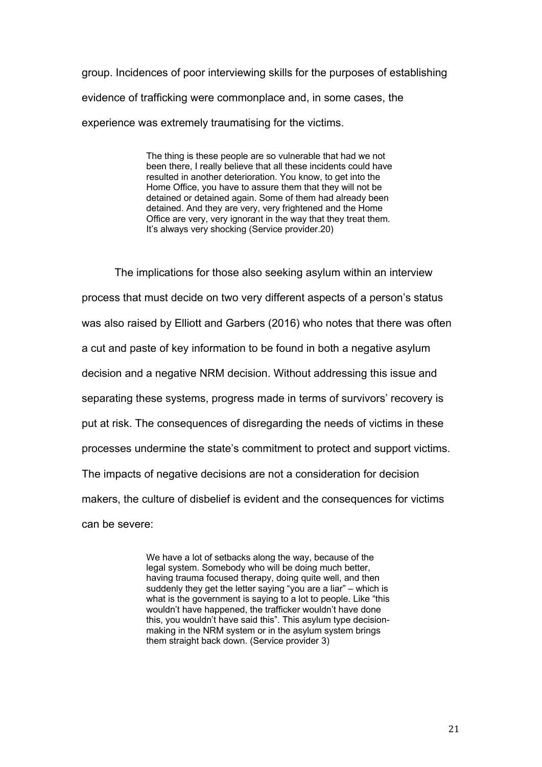group. Incidences of poor interviewing skills for the purposes of establishing evidence of trafficking were commonplace and, in some cases, the experience was extremely traumatising for the victims.

> The thing is these people are so vulnerable that had we not been there, I really believe that all these incidents could have resulted in another deterioration. You know, to get into the Home Office, you have to assure them that they will not be detained or detained again. Some of them had already been detained. And they are very, very frightened and the Home Office are very, very ignorant in the way that they treat them. It's always very shocking (Service provider.20)

The implications for those also seeking asylum within an interview process that must decide on two very different aspects of a person's status was also raised by Elliott and Garbers (2016) who notes that there was often a cut and paste of key information to be found in both a negative asylum decision and a negative NRM decision. Without addressing this issue and separating these systems, progress made in terms of survivors' recovery is put at risk. The consequences of disregarding the needs of victims in these processes undermine the state's commitment to protect and support victims. The impacts of negative decisions are not a consideration for decision makers, the culture of disbelief is evident and the consequences for victims can be severe:

> We have a lot of setbacks along the way, because of the legal system. Somebody who will be doing much better, having trauma focused therapy, doing quite well, and then suddenly they get the letter saying "you are a liar" – which is what is the government is saying to a lot to people. Like "this wouldn't have happened, the trafficker wouldn't have done this, you wouldn't have said this". This asylum type decisionmaking in the NRM system or in the asylum system brings them straight back down. (Service provider 3)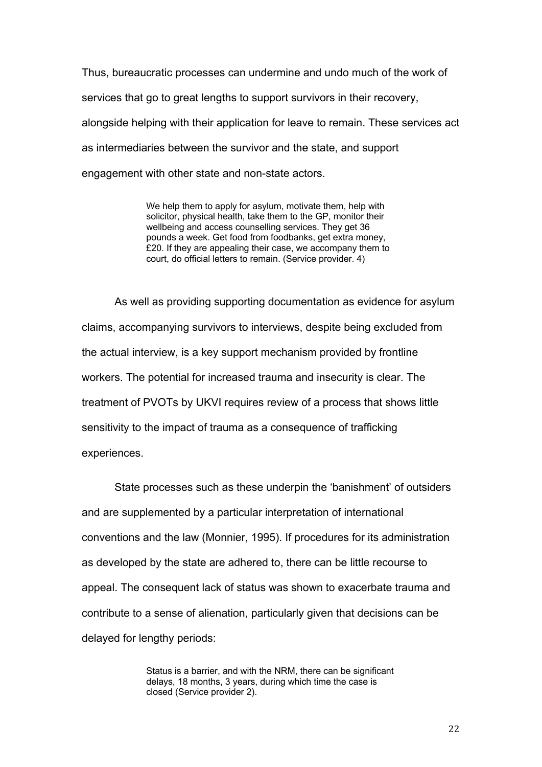Thus, bureaucratic processes can undermine and undo much of the work of services that go to great lengths to support survivors in their recovery, alongside helping with their application for leave to remain. These services act as intermediaries between the survivor and the state, and support engagement with other state and non-state actors.

> We help them to apply for asylum, motivate them, help with solicitor, physical health, take them to the GP, monitor their wellbeing and access counselling services. They get 36 pounds a week. Get food from foodbanks, get extra money, £20. If they are appealing their case, we accompany them to court, do official letters to remain. (Service provider. 4)

As well as providing supporting documentation as evidence for asylum claims, accompanying survivors to interviews, despite being excluded from the actual interview, is a key support mechanism provided by frontline workers. The potential for increased trauma and insecurity is clear. The treatment of PVOTs by UKVI requires review of a process that shows little sensitivity to the impact of trauma as a consequence of trafficking experiences.

 State processes such as these underpin the 'banishment' of outsiders and are supplemented by a particular interpretation of international conventions and the law (Monnier, 1995). If procedures for its administration as developed by the state are adhered to, there can be little recourse to appeal. The consequent lack of status was shown to exacerbate trauma and contribute to a sense of alienation, particularly given that decisions can be delayed for lengthy periods:

> Status is a barrier, and with the NRM, there can be significant delays, 18 months, 3 years, during which time the case is closed (Service provider 2).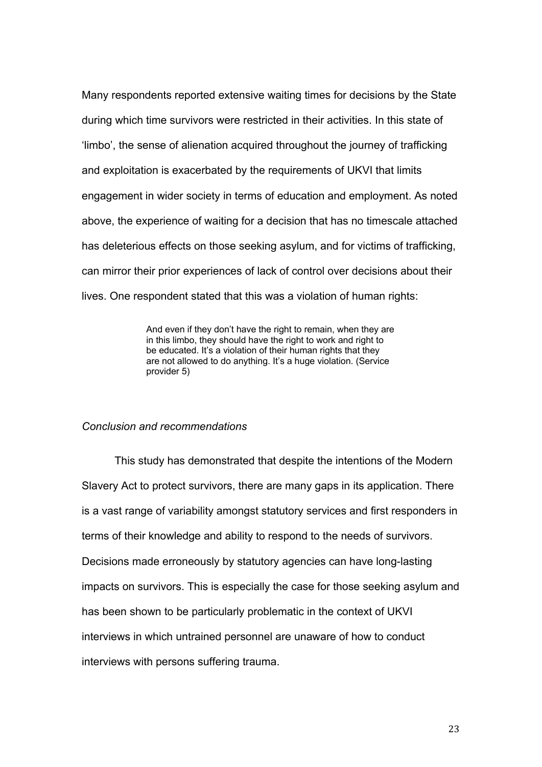Many respondents reported extensive waiting times for decisions by the State during which time survivors were restricted in their activities. In this state of 'limbo', the sense of alienation acquired throughout the journey of trafficking and exploitation is exacerbated by the requirements of UKVI that limits engagement in wider society in terms of education and employment. As noted above, the experience of waiting for a decision that has no timescale attached has deleterious effects on those seeking asylum, and for victims of trafficking, can mirror their prior experiences of lack of control over decisions about their lives. One respondent stated that this was a violation of human rights:

> And even if they don't have the right to remain, when they are in this limbo, they should have the right to work and right to be educated. It's a violation of their human rights that they are not allowed to do anything. It's a huge violation. (Service provider 5)

## *Conclusion and recommendations*

 This study has demonstrated that despite the intentions of the Modern Slavery Act to protect survivors, there are many gaps in its application. There is a vast range of variability amongst statutory services and first responders in terms of their knowledge and ability to respond to the needs of survivors. Decisions made erroneously by statutory agencies can have long-lasting impacts on survivors. This is especially the case for those seeking asylum and has been shown to be particularly problematic in the context of UKVI interviews in which untrained personnel are unaware of how to conduct interviews with persons suffering trauma.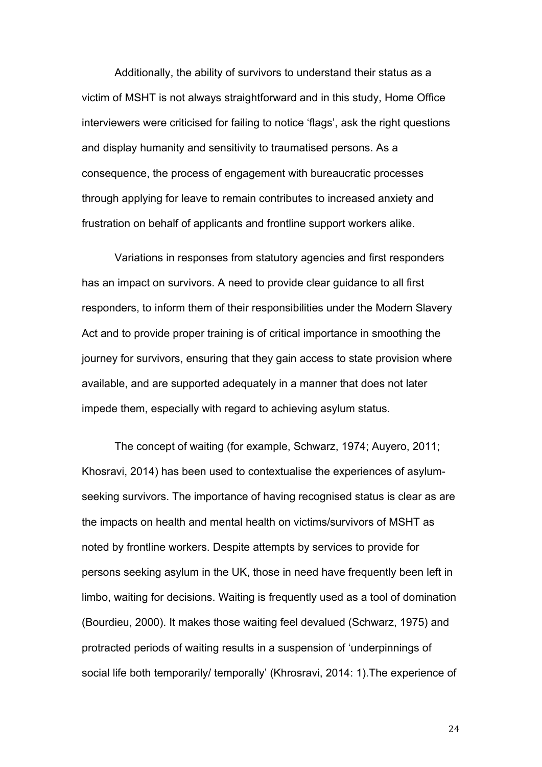Additionally, the ability of survivors to understand their status as a victim of MSHT is not always straightforward and in this study, Home Office interviewers were criticised for failing to notice 'flags', ask the right questions and display humanity and sensitivity to traumatised persons. As a consequence, the process of engagement with bureaucratic processes through applying for leave to remain contributes to increased anxiety and frustration on behalf of applicants and frontline support workers alike.

Variations in responses from statutory agencies and first responders has an impact on survivors. A need to provide clear guidance to all first responders, to inform them of their responsibilities under the Modern Slavery Act and to provide proper training is of critical importance in smoothing the journey for survivors, ensuring that they gain access to state provision where available, and are supported adequately in a manner that does not later impede them, especially with regard to achieving asylum status.

The concept of waiting (for example, Schwarz, 1974; Auyero, 2011; Khosravi, 2014) has been used to contextualise the experiences of asylumseeking survivors. The importance of having recognised status is clear as are the impacts on health and mental health on victims/survivors of MSHT as noted by frontline workers. Despite attempts by services to provide for persons seeking asylum in the UK, those in need have frequently been left in limbo, waiting for decisions. Waiting is frequently used as a tool of domination (Bourdieu, 2000). It makes those waiting feel devalued (Schwarz, 1975) and protracted periods of waiting results in a suspension of 'underpinnings of social life both temporarily/ temporally' (Khrosravi, 2014: 1).The experience of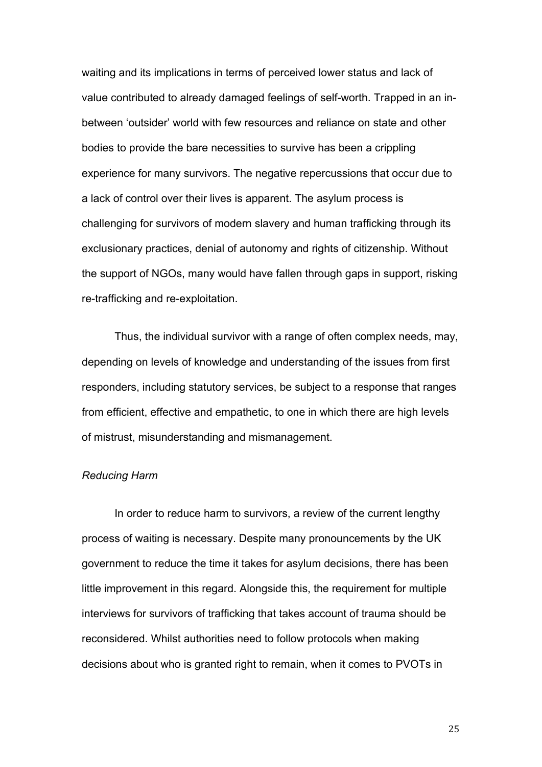waiting and its implications in terms of perceived lower status and lack of value contributed to already damaged feelings of self-worth. Trapped in an inbetween 'outsider' world with few resources and reliance on state and other bodies to provide the bare necessities to survive has been a crippling experience for many survivors. The negative repercussions that occur due to a lack of control over their lives is apparent. The asylum process is challenging for survivors of modern slavery and human trafficking through its exclusionary practices, denial of autonomy and rights of citizenship. Without the support of NGOs, many would have fallen through gaps in support, risking re-trafficking and re-exploitation.

Thus, the individual survivor with a range of often complex needs, may, depending on levels of knowledge and understanding of the issues from first responders, including statutory services, be subject to a response that ranges from efficient, effective and empathetic, to one in which there are high levels of mistrust, misunderstanding and mismanagement.

#### *Reducing Harm*

In order to reduce harm to survivors, a review of the current lengthy process of waiting is necessary. Despite many pronouncements by the UK government to reduce the time it takes for asylum decisions, there has been little improvement in this regard. Alongside this, the requirement for multiple interviews for survivors of trafficking that takes account of trauma should be reconsidered. Whilst authorities need to follow protocols when making decisions about who is granted right to remain, when it comes to PVOTs in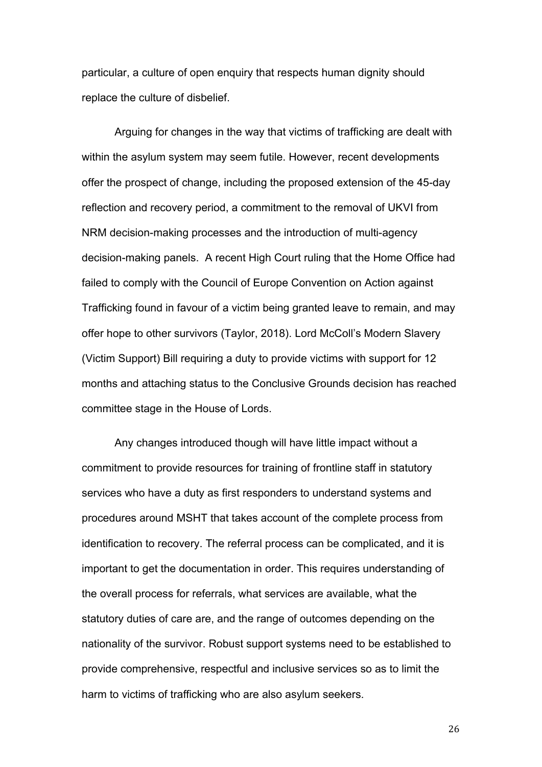particular, a culture of open enquiry that respects human dignity should replace the culture of disbelief.

Arguing for changes in the way that victims of trafficking are dealt with within the asylum system may seem futile. However, recent developments offer the prospect of change, including the proposed extension of the 45-day reflection and recovery period, a commitment to the removal of UKVI from NRM decision-making processes and the introduction of multi-agency decision-making panels. A recent High Court ruling that the Home Office had failed to comply with the Council of Europe Convention on Action against Trafficking found in favour of a victim being granted leave to remain, and may offer hope to other survivors (Taylor, 2018). Lord McColl's Modern Slavery (Victim Support) Bill requiring a duty to provide victims with support for 12 months and attaching status to the Conclusive Grounds decision has reached committee stage in the House of Lords.

Any changes introduced though will have little impact without a commitment to provide resources for training of frontline staff in statutory services who have a duty as first responders to understand systems and procedures around MSHT that takes account of the complete process from identification to recovery. The referral process can be complicated, and it is important to get the documentation in order. This requires understanding of the overall process for referrals, what services are available, what the statutory duties of care are, and the range of outcomes depending on the nationality of the survivor. Robust support systems need to be established to provide comprehensive, respectful and inclusive services so as to limit the harm to victims of trafficking who are also asylum seekers.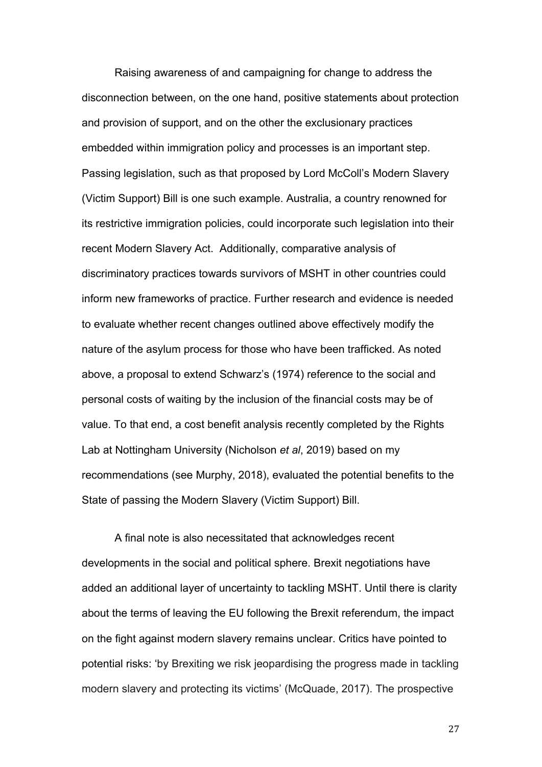Raising awareness of and campaigning for change to address the disconnection between, on the one hand, positive statements about protection and provision of support, and on the other the exclusionary practices embedded within immigration policy and processes is an important step. Passing legislation, such as that proposed by Lord McColl's Modern Slavery (Victim Support) Bill is one such example. Australia, a country renowned for its restrictive immigration policies, could incorporate such legislation into their recent Modern Slavery Act. Additionally, comparative analysis of discriminatory practices towards survivors of MSHT in other countries could inform new frameworks of practice. Further research and evidence is needed to evaluate whether recent changes outlined above effectively modify the nature of the asylum process for those who have been trafficked. As noted above, a proposal to extend Schwarz's (1974) reference to the social and personal costs of waiting by the inclusion of the financial costs may be of value. To that end, a cost benefit analysis recently completed by the Rights Lab at Nottingham University (Nicholson *et al*, 2019) based on my recommendations (see Murphy, 2018), evaluated the potential benefits to the State of passing the Modern Slavery (Victim Support) Bill.

A final note is also necessitated that acknowledges recent developments in the social and political sphere. Brexit negotiations have added an additional layer of uncertainty to tackling MSHT. Until there is clarity about the terms of leaving the EU following the Brexit referendum, the impact on the fight against modern slavery remains unclear. Critics have pointed to potential risks: 'by Brexiting we risk jeopardising the progress made in tackling modern slavery and protecting its victims' (McQuade, 2017). The prospective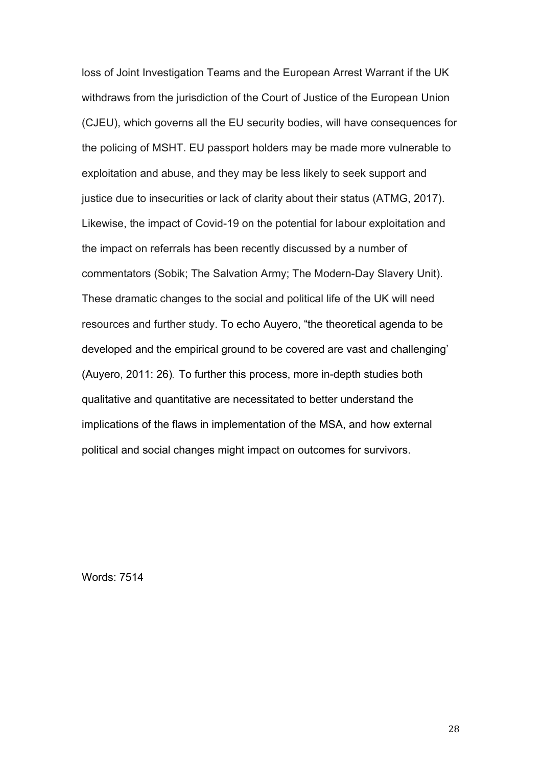loss of Joint Investigation Teams and the European Arrest Warrant if the UK withdraws from the jurisdiction of the Court of Justice of the European Union (CJEU), which governs all the EU security bodies, will have consequences for the policing of MSHT. EU passport holders may be made more vulnerable to exploitation and abuse, and they may be less likely to seek support and justice due to insecurities or lack of clarity about their status (ATMG, 2017). Likewise, the impact of Covid-19 on the potential for labour exploitation and the impact on referrals has been recently discussed by a number of commentators (Sobik; The Salvation Army; The Modern-Day Slavery Unit). These dramatic changes to the social and political life of the UK will need resources and further study. To echo Auyero, "the theoretical agenda to be developed and the empirical ground to be covered are vast and challenging' (Auyero, 2011: 26). To further this process, more in-depth studies both qualitative and quantitative are necessitated to better understand the implications of the flaws in implementation of the MSA, and how external political and social changes might impact on outcomes for survivors.

Words: 7514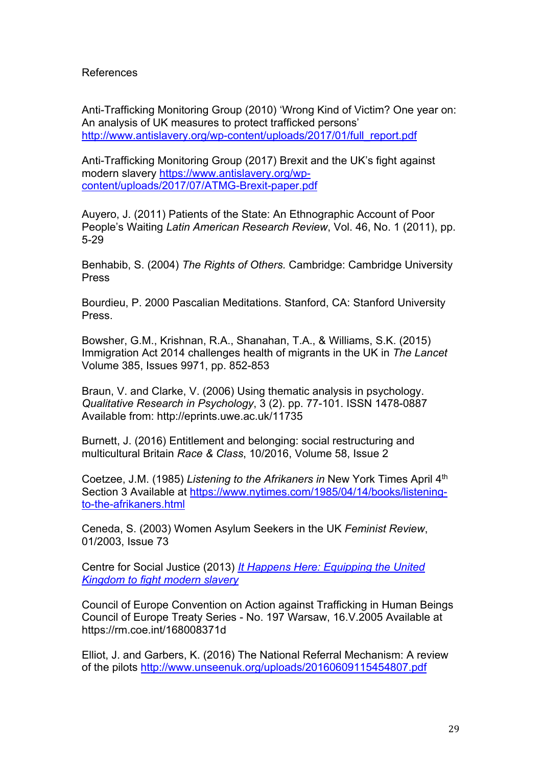# References

Anti-Trafficking Monitoring Group (2010) 'Wrong Kind of Victim? One year on: An analysis of UK measures to protect trafficked persons' http://www.antislavery.org/wp-content/uploads/2017/01/full\_report.pdf

Anti-Trafficking Monitoring Group (2017) Brexit and the UK's fight against modern slavery https://www.antislavery.org/wpcontent/uploads/2017/07/ATMG-Brexit-paper.pdf

Auyero, J. (2011) Patients of the State: An Ethnographic Account of Poor People's Waiting *Latin American Research Review*, Vol. 46, No. 1 (2011), pp. 5-29

Benhabib, S. (2004) *The Rights of Others.* Cambridge: Cambridge University Press

Bourdieu, P. 2000 Pascalian Meditations. Stanford, CA: Stanford University Press.

Bowsher, G.M., Krishnan, R.A., Shanahan, T.A., & Williams, S.K. (2015) Immigration Act 2014 challenges health of migrants in the UK in *The Lancet*  Volume 385, Issues 9971, pp. 852-853

Braun, V. and Clarke, V. (2006) Using thematic analysis in psychology. *Qualitative Research in Psychology*, 3 (2). pp. 77-101. ISSN 1478-0887 Available from: http://eprints.uwe.ac.uk/11735

Burnett, J. (2016) Entitlement and belonging: social restructuring and multicultural Britain *Race & Class*, 10/2016, Volume 58, Issue 2

Coetzee, J.M. (1985) *Listening to the Afrikaners in* New York Times April 4th Section 3 Available at https://www.nytimes.com/1985/04/14/books/listeningto-the-afrikaners.html

Ceneda, S. (2003) Women Asylum Seekers in the UK *Feminist Review*, 01/2003, Issue 73

Centre for Social Justice (2013) *It Happens Here: Equipping the United Kingdom to fight modern slavery*

Council of Europe Convention on Action against Trafficking in Human Beings Council of Europe Treaty Series - No. 197 Warsaw, 16.V.2005 Available at https://rm.coe.int/168008371d

Elliot, J. and Garbers, K. (2016) The National Referral Mechanism: A review of the pilots http://www.unseenuk.org/uploads/20160609115454807.pdf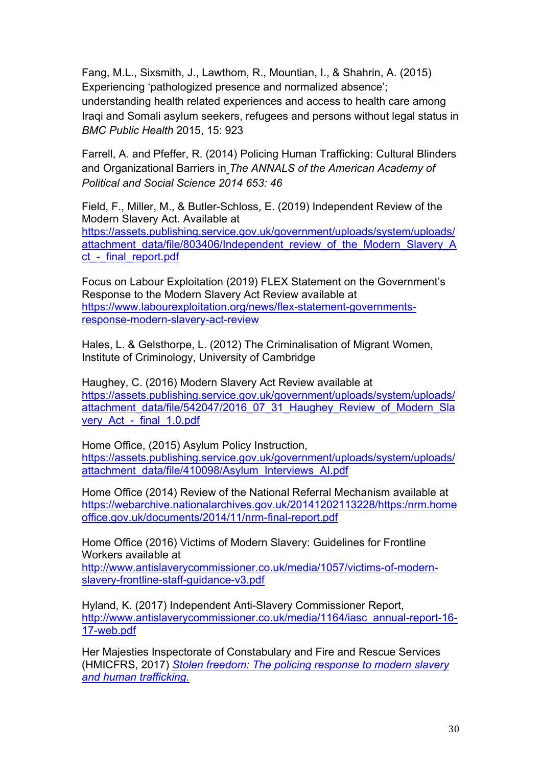Fang, M.L., Sixsmith, J., Lawthom, R., Mountian, I., & Shahrin, A. (2015) Experiencing 'pathologized presence and normalized absence'; understanding health related experiences and access to health care among Iraqi and Somali asylum seekers, refugees and persons without legal status in *BMC Public Health* 2015, 15: 923

Farrell, A. and Pfeffer, R. (2014) Policing Human Trafficking: Cultural Blinders and Organizational Barriers in *The ANNALS of the American Academy of Political and Social Science 2014 653: 46*

Field, F., Miller, M., & Butler-Schloss, E. (2019) Independent Review of the Modern Slavery Act. Available at https://assets.publishing.service.gov.uk/government/uploads/system/uploads/ attachment\_data/file/803406/Independent\_review\_of\_the\_Modern\_Slavery\_A ct - final report.pdf

Focus on Labour Exploitation (2019) FLEX Statement on the Government's Response to the Modern Slavery Act Review available at https://www.labourexploitation.org/news/flex-statement-governmentsresponse-modern-slavery-act-review

Hales, L. & Gelsthorpe, L. (2012) The Criminalisation of Migrant Women, Institute of Criminology, University of Cambridge

Haughey, C. (2016) Modern Slavery Act Review available at https://assets.publishing.service.gov.uk/government/uploads/system/uploads/ attachment\_data/file/542047/2016\_07\_31\_Haughey\_Review\_of\_Modern\_Sla very Act - final 1.0.pdf

Home Office, (2015) Asylum Policy Instruction, https://assets.publishing.service.gov.uk/government/uploads/system/uploads/ attachment\_data/file/410098/Asylum\_Interviews\_AI.pdf

Home Office (2014) Review of the National Referral Mechanism available at https://webarchive.nationalarchives.gov.uk/20141202113228/https:/nrm.home office.gov.uk/documents/2014/11/nrm-final-report.pdf

Home Office (2016) Victims of Modern Slavery: Guidelines for Frontline Workers available at

http://www.antislaverycommissioner.co.uk/media/1057/victims-of-modernslavery-frontline-staff-guidance-v3.pdf

Hyland, K. (2017) Independent Anti-Slavery Commissioner Report, http://www.antislaverycommissioner.co.uk/media/1164/iasc\_annual-report-16- 17-web.pdf

Her Majesties Inspectorate of Constabulary and Fire and Rescue Services (HMICFRS, 2017) *Stolen freedom: The policing response to modern slavery and human trafficking.*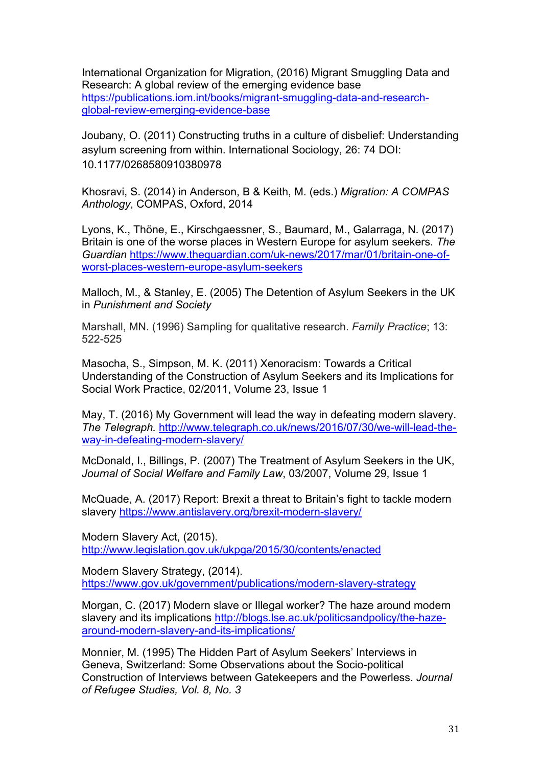International Organization for Migration, (2016) Migrant Smuggling Data and Research: A global review of the emerging evidence base https://publications.iom.int/books/migrant-smuggling-data-and-researchglobal-review-emerging-evidence-base

Joubany, O. (2011) Constructing truths in a culture of disbelief: Understanding asylum screening from within. International Sociology, 26: 74 DOI: 10.1177/0268580910380978

Khosravi, S. (2014) in Anderson, B & Keith, M. (eds.) *Migration: A COMPAS Anthology*, COMPAS, Oxford, 2014

Lyons, K., Thöne, E., Kirschgaessner, S., Baumard, M., Galarraga, N. (2017) Britain is one of the worse places in Western Europe for asylum seekers. *The Guardian* https://www.theguardian.com/uk-news/2017/mar/01/britain-one-ofworst-places-western-europe-asylum-seekers

Malloch, M., & Stanley, E. (2005) The Detention of Asylum Seekers in the UK in *Punishment and Society*

Marshall, MN. (1996) Sampling for qualitative research. *Family Practice*; 13: 522-525

Masocha, S., Simpson, M. K. (2011) Xenoracism: Towards a Critical Understanding of the Construction of Asylum Seekers and its Implications for Social Work Practice, 02/2011, Volume 23, Issue 1

May, T. (2016) My Government will lead the way in defeating modern slavery. *The Telegraph.* http://www.telegraph.co.uk/news/2016/07/30/we-will-lead-theway-in-defeating-modern-slavery/

McDonald, I., Billings, P. (2007) The Treatment of Asylum Seekers in the UK, *Journal of Social Welfare and Family Law*, 03/2007, Volume 29, Issue 1

McQuade, A. (2017) Report: Brexit a threat to Britain's fight to tackle modern slavery https://www.antislavery.org/brexit-modern-slavery/

Modern Slavery Act, (2015). http://www.legislation.gov.uk/ukpga/2015/30/contents/enacted

Modern Slavery Strategy, (2014). https://www.gov.uk/government/publications/modern-slavery-strategy

Morgan, C. (2017) Modern slave or Illegal worker? The haze around modern slavery and its implications http://blogs.lse.ac.uk/politicsandpolicy/the-hazearound-modern-slavery-and-its-implications/

Monnier, M. (1995) The Hidden Part of Asylum Seekers' Interviews in Geneva, Switzerland: Some Observations about the Socio-political Construction of Interviews between Gatekeepers and the Powerless. *Journal of Refugee Studies, Vol. 8, No. 3*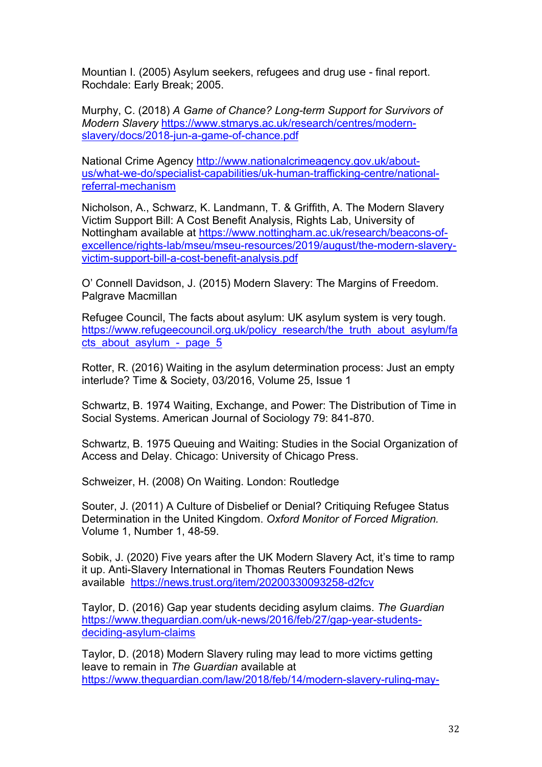Mountian I. (2005) Asylum seekers, refugees and drug use - final report. Rochdale: Early Break; 2005.

Murphy, C. (2018) *A Game of Chance? Long-term Support for Survivors of Modern Slavery* https://www.stmarys.ac.uk/research/centres/modernslavery/docs/2018-jun-a-game-of-chance.pdf

National Crime Agency http://www.nationalcrimeagency.gov.uk/aboutus/what-we-do/specialist-capabilities/uk-human-trafficking-centre/nationalreferral-mechanism

Nicholson, A., Schwarz, K. Landmann, T. & Griffith, A. The Modern Slavery Victim Support Bill: A Cost Benefit Analysis, Rights Lab, University of Nottingham available at https://www.nottingham.ac.uk/research/beacons-ofexcellence/rights-lab/mseu/mseu-resources/2019/august/the-modern-slaveryvictim-support-bill-a-cost-benefit-analysis.pdf

O' Connell Davidson, J. (2015) Modern Slavery: The Margins of Freedom. Palgrave Macmillan

Refugee Council, The facts about asylum: UK asylum system is very tough. https://www.refugeecouncil.org.uk/policy\_research/the\_truth\_about\_asylum/fa cts\_about\_asylum -\_page\_5

Rotter, R. (2016) Waiting in the asylum determination process: Just an empty interlude? Time & Society, 03/2016, Volume 25, Issue 1

Schwartz, B. 1974 Waiting, Exchange, and Power: The Distribution of Time in Social Systems. American Journal of Sociology 79: 841-870.

Schwartz, B. 1975 Queuing and Waiting: Studies in the Social Organization of Access and Delay. Chicago: University of Chicago Press.

Schweizer, H. (2008) On Waiting. London: Routledge

Souter, J. (2011) A Culture of Disbelief or Denial? Critiquing Refugee Status Determination in the United Kingdom. *Oxford Monitor of Forced Migration.*  Volume 1, Number 1, 48-59.

Sobik, J. (2020) Five years after the UK Modern Slavery Act, it's time to ramp it up. Anti-Slavery International in Thomas Reuters Foundation News available https://news.trust.org/item/20200330093258-d2fcv

Taylor, D. (2016) Gap year students deciding asylum claims. *The Guardian*  https://www.theguardian.com/uk-news/2016/feb/27/gap-year-studentsdeciding-asylum-claims

Taylor, D. (2018) Modern Slavery ruling may lead to more victims getting leave to remain in *The Guardian* available at https://www.theguardian.com/law/2018/feb/14/modern-slavery-ruling-may-